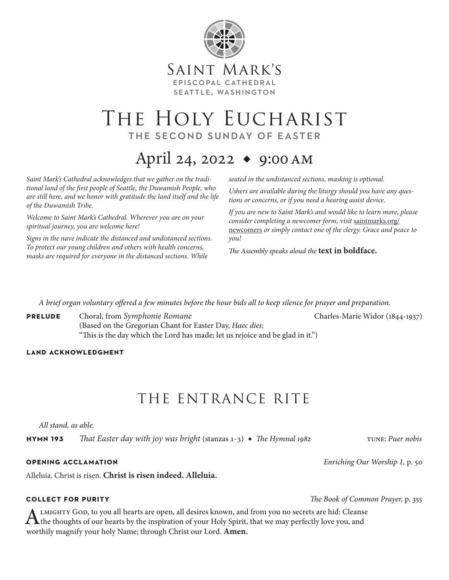

# THE HOLY EUCHARIST the second sunday of easter

# April 24, 2022 ◆ 9:00am

*Saint Mark's Cathedral acknowledges that we gather on the traditional land of the first people of Seattle, the Duwamish People, who are still here, and we honor with gratitude the land itself and the life of the Duwamish Tribe.* 

*Welcome to Saint Mark's Cathedral. Wherever you are on your spiritual journey, you are welcome here!*

*Signs in the nave indicate the distanced and undistanced sections. To protect our young children and others with health concerns, masks are required for everyone in the distanced sections. While* 

*seated in the undistanced sections, masking is optional.*

*Ushers are available during the liturgy should you have any questions or concerns, or if you need a hearing assist device.*

*If you are new to Saint Mark's and would like to learn more, please consider completing a newcomer form, visit* [saintmarks.org/](https://saintmarks.org/im-new/im-new-here/) [newcomers](https://saintmarks.org/im-new/im-new-here/) *or simply contact one of the clergy. Grace and peace to you!*

*The Assembly speaks aloud the* **text in boldface.**

*A brief organ voluntary offered a few minutes before the hour bids all to keep silence for prayer and preparation.*

**PRELUDE** Choral, from *Symphonie Romane* Charles-Marie Widor (1844-1937) (Based on the Gregorian Chant for Easter Day, *Haec dies*: "This is the day which the Lord has made; let us rejoice and be glad in it.")

**land acknowledgment**

# THE ENTRANCE RITE

*All stand, as able.*

**hymn 193** That Easter day with joy was bright (stanzas 1-3) ◆ The Hymnal 1982 TUNE: Puer nobis

Alleluia. Christ is risen. **Christ is risen indeed. Alleluia.**

ALMIGHTY GOD, to you all hearts are open, all desires known, and from you no secrets are hid: Cleanse<br>the thoughts of our hearts by the inspiration of your Holy Spirit, that we may perfectly love you, and worthily magnify your holy Name; through Christ our Lord. **Amen.**

**opening acclamation** *Enriching Our Worship 1,* p. 50

**collect for purity** *The Book of Common Prayer,* p. 355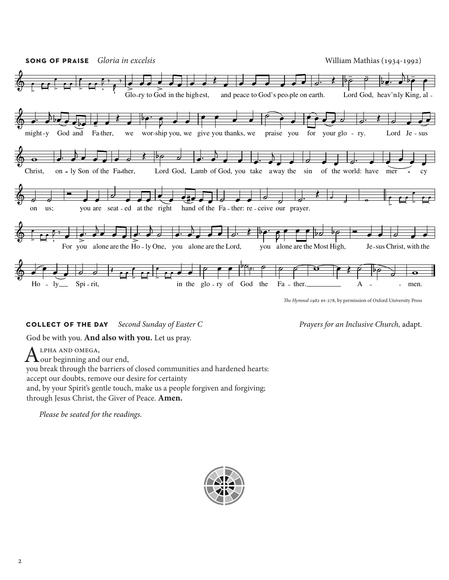

**collect of the day** *Second Sunday of Easter C Prayers for an Inclusive Church,* adapt.

God be with you. **And also with you.** Let us pray.

ALPHA AND OMEGA,<br>
our beginning and our end, you break through the barriers of closed communities and hardened hearts: accept our doubts, remove our desire for certainty and, by your Spirit's gentle touch, make us a people forgiven and forgiving; through Jesus Christ, the Giver of Peace. **Amen.**

*Please be seated for the readings.*

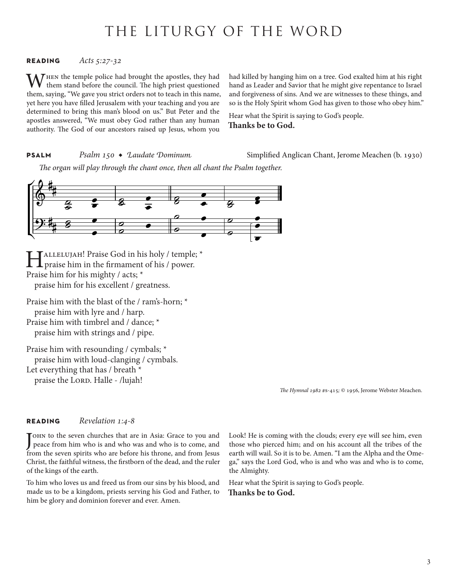## THE LITURGY OF THE WORD

### **reading** *Acts 5:27-32*

 $\mathcal T$ HEN the temple police had brought the apostles, they had them stand before the council. The high priest questioned them, saying, "We gave you strict orders not to teach in this name, yet here you have filled Jerusalem with your teaching and you are determined to bring this man's blood on us." But Peter and the apostles answered, "We must obey God rather than any human authority. The God of our ancestors raised up Jesus, whom you

had killed by hanging him on a tree. God exalted him at his right hand as Leader and Savior that he might give repentance to Israel and forgiveness of sins. And we are witnesses to these things, and so is the Holy Spirit whom God has given to those who obey him."

Hear what the Spirit is saying to God's people. **Thanks be to God.**

**PSALM** *Psalm 150 ◆ Laudate Dominum* Simplified Anglican Chant, Jerome Meachen (b. 1930)

*The organ will play through the chant once, then all chant the Psalm together.*



HALLELUJAH! Praise God in his holy / temple; \*<br>praise him in the firmament of his / power. Praise him for his mighty / acts; \* praise him for his excellent / greatness.

Praise him with the blast of the / ram's-horn; \* praise him with lyre and / harp. Praise him with timbrel and / dance; \* praise him with strings and / pipe.

Praise him with resounding / cymbals; \* praise him with loud-clanging / cymbals. Let everything that has / breath \* praise the LORD. Halle - /lujah!

*The Hymnal 1982* #s-415*;* © 1956, Jerome Webster Meachen.

#### **reading** *Revelation 1:4-8*

J peace from him who is and who was and who is to come, and TOHN to the seven churches that are in Asia: Grace to you and from the seven spirits who are before his throne, and from Jesus Christ, the faithful witness, the firstborn of the dead, and the ruler of the kings of the earth.

To him who loves us and freed us from our sins by his blood, and made us to be a kingdom, priests serving his God and Father, to him be glory and dominion forever and ever. Amen.

Look! He is coming with the clouds; every eye will see him, even those who pierced him; and on his account all the tribes of the earth will wail. So it is to be. Amen. "I am the Alpha and the Omega," says the Lord God, who is and who was and who is to come, the Almighty.

Hear what the Spirit is saying to God's people. **Thanks be to God.**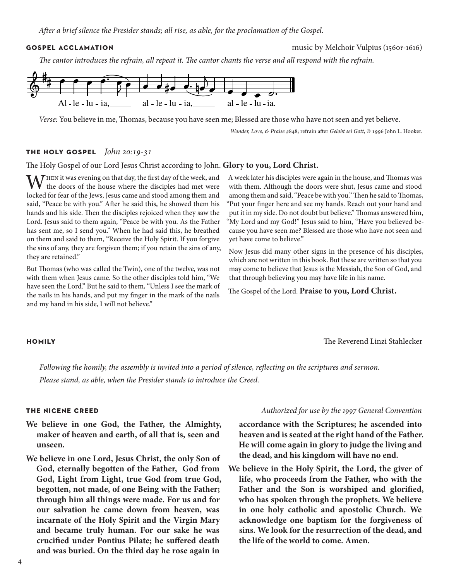**gospel acclamation** music by Melchoir Vulpius (1560?-1616)

*The cantor introduces the refrain, all repeat it. The cantor chants the verse and all respond with the refrain.*



*Verse:* You believe in me, Thomas, because you have seen me; Blessed are those who have not seen and yet believe.

*Wonder, Love, & Praise* #848; refrain after *Gelobt sei Gott*, © 1996 John L. Hooker.

### **the holy gospel** *John 20:19-31*

The Holy Gospel of our Lord Jesus Christ according to John. **Glory to you, Lord Christ.**

WHEN it was evening on that day, the first day of the week, and the doors of the house where the disciples had met were locked for fear of the Jews, Jesus came and stood among them and said, "Peace be with you." After he said this, he showed them his hands and his side. Then the disciples rejoiced when they saw the Lord. Jesus said to them again, "Peace be with you. As the Father has sent me, so I send you." When he had said this, he breathed on them and said to them, "Receive the Holy Spirit. If you forgive the sins of any, they are forgiven them; if you retain the sins of any, they are retained."

But Thomas (who was called the Twin), one of the twelve, was not with them when Jesus came. So the other disciples told him, "We have seen the Lord." But he said to them, "Unless I see the mark of the nails in his hands, and put my finger in the mark of the nails and my hand in his side, I will not believe."

### A week later his disciples were again in the house, and Thomas was with them. Although the doors were shut, Jesus came and stood among them and said, "Peace be with you." Then he said to Thomas, "Put your finger here and see my hands. Reach out your hand and put it in my side. Do not doubt but believe." Thomas answered him, "My Lord and my God!" Jesus said to him, "Have you believed because you have seen me? Blessed are those who have not seen and yet have come to believe."

Now Jesus did many other signs in the presence of his disciples, which are not written in this book. But these are written so that you may come to believe that Jesus is the Messiah, the Son of God, and that through believing you may have life in his name.

The Gospel of the Lord. **Praise to you, Lord Christ.**

**homily** The Reverend Linzi Stahlecker

*Following the homily, the assembly is invited into a period of silence, reflecting on the scriptures and sermon.* 

*Please stand, as able, when the Presider stands to introduce the Creed.*

- **We believe in one God, the Father, the Almighty, maker of heaven and earth, of all that is, seen and unseen.**
- **We believe in one Lord, Jesus Christ, the only Son of God, eternally begotten of the Father, God from God, Light from Light, true God from true God, begotten, not made, of one Being with the Father; through him all things were made. For us and for our salvation he came down from heaven, was incarnate of the Holy Spirit and the Virgin Mary and became truly human. For our sake he was crucified under Pontius Pilate; he suffered death and was buried. On the third day he rose again in**

### **the nicene creed** *Authorized for use by the 1997 General Convention*

**accordance with the Scriptures; he ascended into heaven and is seated at the right hand of the Father. He will come again in glory to judge the living and the dead, and his kingdom will have no end.**

**We believe in the Holy Spirit, the Lord, the giver of life, who proceeds from the Father, who with the Father and the Son is worshiped and glorified, who has spoken through the prophets. We believe in one holy catholic and apostolic Church. We acknowledge one baptism for the forgiveness of sins. We look for the resurrection of the dead, and the life of the world to come. Amen.**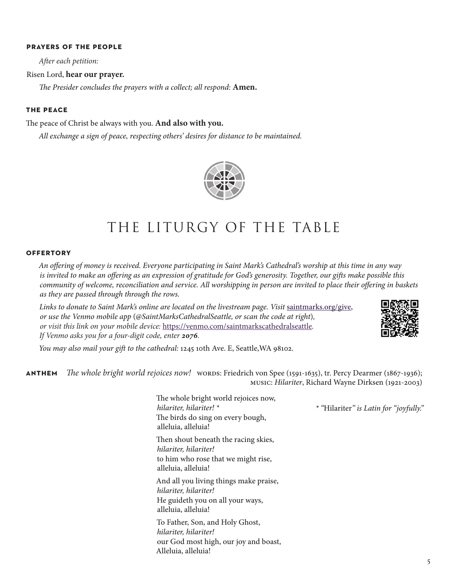### **prayers of the people**

*After each petition:*

### Risen Lord, **hear our prayer.**

*The Presider concludes the prayers with a collect; all respond:* **Amen.**

#### **the peace**

The peace of Christ be always with you. **And also with you.**

*All exchange a sign of peace, respecting others' desires for distance to be maintained.* 



## THE LITURGY OF THE TABLE

#### **offertory**

*An offering of money is received. Everyone participating in Saint Mark's Cathedral's worship at this time in any way is invited to make an offering as an expression of gratitude for God's generosity. Together, our gifts make possible this community of welcome, reconciliation and service. All worshipping in person are invited to place their offering in baskets as they are passed through through the rows.* 

Links to donate to Saint Mark's online are located on the livestream page. Visit [saintmarks.org/give,](http://saintmarks.org/give) *or use the Venmo mobile app* (*@SaintMarksCathedralSeattle, or scan the code at right*)*, or visit this link on your mobile device:* <https://venmo.com/saintmarkscathedralseattle>*. If Venmo asks you for a four-digit code, enter 2076.*



*\* "*Hilariter*" is Latin for "joyfully."*

*You may also mail your gift to the cathedral:* 1245 10th Ave. E, Seattle,WA 98102.

**anthem** *The whole bright world rejoices now!* words: Friedrich von Spee (1591-1635), tr. Percy Dearmer (1867-1936); music: *Hilariter*, Richard Wayne Dirksen (1921-2003)

> The whole bright world rejoices now, *hilariter, hilariter! \** The birds do sing on every bough, alleluia, alleluia! Then shout beneath the racing skies, *hilariter, hilariter!* to him who rose that we might rise, alleluia, alleluia! And all you living things make praise, *hilariter, hilariter!* He guideth you on all your ways, alleluia, alleluia! To Father, Son, and Holy Ghost, *hilariter, hilariter!* our God most high, our joy and boast, Alleluia, alleluia!

5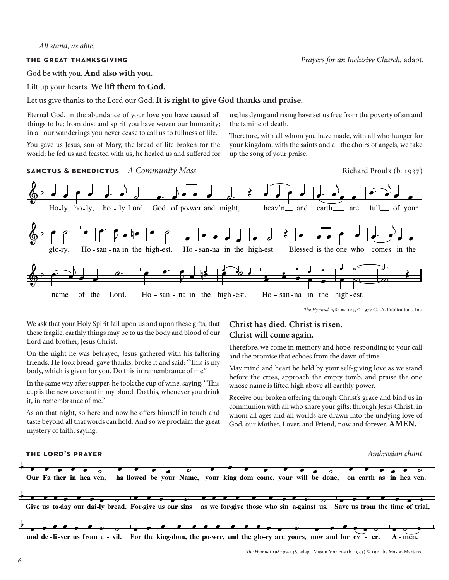#### *All stand, as able.*

### **the great thanksgiving** *Prayers for an Inclusive Church,* adapt.

God be with you. **And also with you.** 

Lift up your hearts. **We lift them to God.** 

### Let us give thanks to the Lord our God. **It is right to give God thanks and praise.**

Eternal God, in the abundance of your love you have caused all things to be; from dust and spirit you have woven our humanity; in all our wanderings you never cease to call us to fullness of life.

You gave us Jesus, son of Mary, the bread of life broken for the world; he fed us and feasted with us, he healed us and suffered for us; his dying and rising have set us free from the poverty of sin and the famine of death.

Therefore, with all whom you have made, with all who hunger for your kingdom, with the saints and all the choirs of angels, we take up the song of your praise.

**SANCTUS & BENEDICTUS** *A Community Mass* And *Aggregation Richard Proulx (b. 1937) Richard Proulx (b. 1937)* 





*The Hymnal 1982* #s-125, © 1977 G.I.A. Publications, Inc.

We ask that your Holy Spirit fall upon us and upon these gifts, that these fragile, earthly things may be to us the body and blood of our Lord and brother, Jesus Christ.

On the night he was betrayed, Jesus gathered with his faltering friends. He took bread, gave thanks, broke it and said: "This is my body, which is given for you. Do this in remembrance of me."

In the same way after supper, he took the cup of wine, saying, "This cup is the new covenant in my blood. Do this, whenever you drink it, in remembrance of me."

As on that night, so here and now he offers himself in touch and taste beyond all that words can hold. And so we proclaim the great mystery of faith, saying:

### **Christ has died. Christ is risen. Christ will come again.**

Therefore, we come in memory and hope, responding to your call and the promise that echoes from the dawn of time.

May mind and heart be held by your self-giving love as we stand before the cross, approach the empty tomb, and praise the one whose name is lifted high above all earthly power.

Receive our broken offering through Christ's grace and bind us in communion with all who share your gifts; through Jesus Christ, in whom all ages and all worlds are drawn into the undying love of God, our Mother, Lover, and Friend, now and forever. **AMEN.**

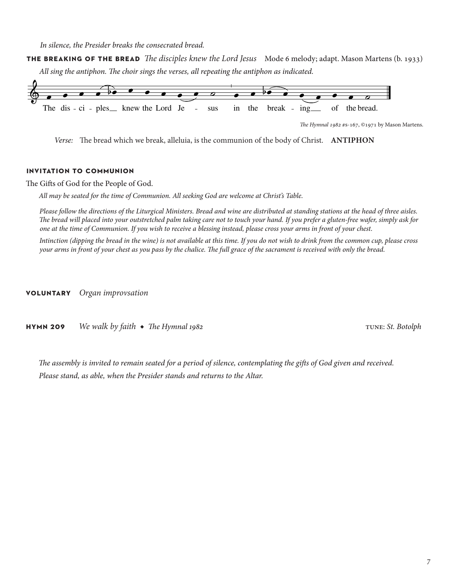*In silence, the Presider breaks the consecrated bread.*

**the breaking of the bread** *The disciples knew the Lord Jesus* Mode 6 melody; adapt. Mason Martens (b. 1933) *All sing the antiphon. The choir sings the verses, all repeating the antiphon as indicated.*



*Verse:* The bread which we break, alleluia, is the communion of the body of Christ. **ANTIPHON**

### **invitation to communion**

The Gifts of God for the People of God.

*All may be seated for the time of Communion. All seeking God are welcome at Christ's Table.* 

*Please follow the directions of the Liturgical Ministers. Bread and wine are distributed at standing stations at the head of three aisles. The bread will placed into your outstretched palm taking care not to touch your hand. If you prefer a gluten-free wafer, simply ask for one at the time of Communion. If you wish to receive a blessing instead, please cross your arms in front of your chest.*

*Intinction (dipping the bread in the wine) is not available at this time. If you do not wish to drink from the common cup, please cross your arms in front of your chest as you pass by the chalice. The full grace of the sacrament is received with only the bread.*

**voluntary** *Organ improvsation*

**hymn 209** We walk by faith ◆ The Hymnal 1982 tune: *St. Botolph* 

*The assembly is invited to remain seated for a period of silence, contemplating the gifts of God given and received. Please stand, as able, when the Presider stands and returns to the Altar.*